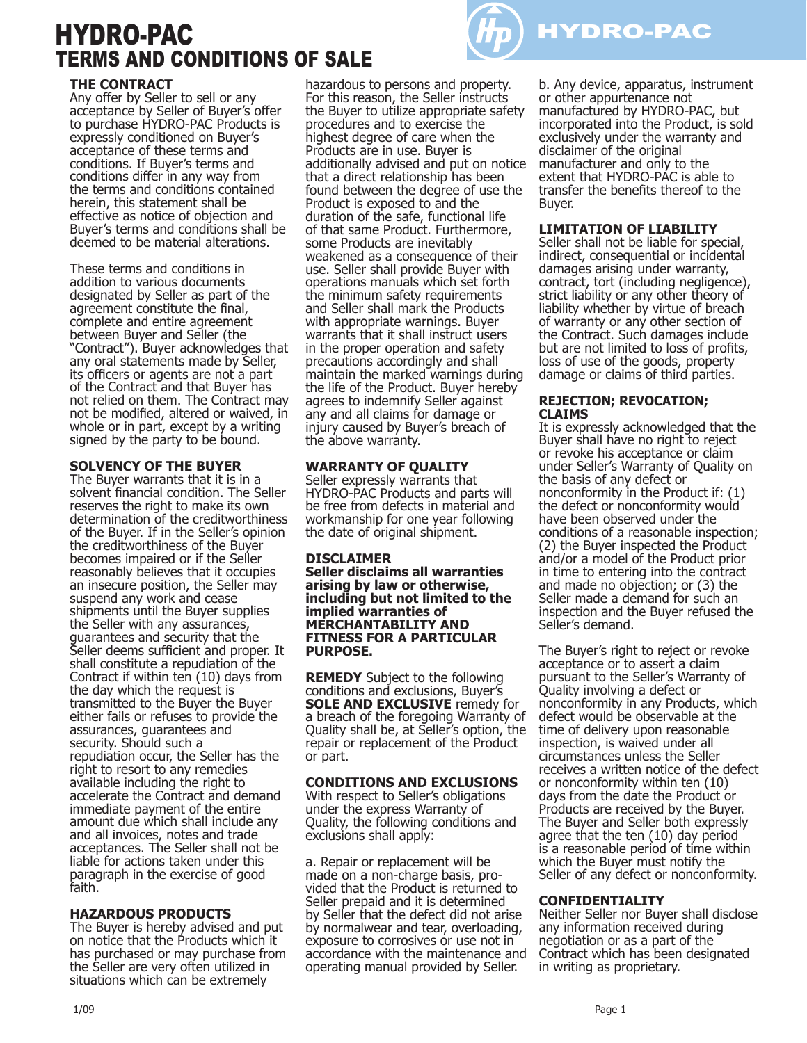# HYDRO-PAC TERMS AND CONDITIONS OF SALE



Any offer by Seller to sell or any acceptance by Seller of Buyer's offer to purchase HYDRO-PAC Products is expressly conditioned on Buyer's acceptance of these terms and conditions. If Buyer's terms and conditions differ in any way from the terms and conditions contained herein, this statement shall be effective as notice of objection and Buyer's terms and conditions shall be deemed to be material alterations.

These terms and conditions in addition to various documents designated by Seller as part of the agreement constitute the final, complete and entire agreement between Buyer and Seller (the "Contract"). Buyer acknowledges that any oral statements made by Seller, its officers or agents are not a part of the Contract and that Buyer has not relied on them. The Contract may not be modified, altered or waived, in whole or in part, except by a writing signed by the party to be bound.

#### **SOLVENCY OF THE BUYER**

The Buyer warrants that it is in a solvent financial condition. The Seller reserves the right to make its own determination of the creditworthiness of the Buyer. If in the Seller's opinion the creditworthiness of the Buyer becomes impaired or if the Seller reasonably believes that it occupies an insecure position, the Seller may suspend any work and cease shipments until the Buyer supplies the Seller with any assurances, guarantees and security that the Seller deems sufficient and proper. It shall constitute a repudiation of the Contract if within ten (10) days from the day which the request is transmitted to the Buyer the Buyer either fails or refuses to provide the assurances, guarantees and security. Should such a repudiation occur, the Seller has the right to resort to any remedies available including the right to accelerate the Contract and demand immediate payment of the entire amount due which shall include any and all invoices, notes and trade acceptances. The Seller shall not be liable for actions taken under this paragraph in the exercise of good faith.

#### **HAZARDOUS PRODUCTS**

The Buyer is hereby advised and put on notice that the Products which it has purchased or may purchase from the Seller are very often utilized in situations which can be extremely

hazardous to persons and property. For this reason, the Seller instructs the Buyer to utilize appropriate safety procedures and to exercise the highest degree of care when the Products are in use. Buyer is additionally advised and put on notice that a direct relationship has been found between the degree of use the Product is exposed to and the duration of the safe, functional life of that same Product. Furthermore, some Products are inevitably weakened as a consequence of their use. Seller shall provide Buyer with operations manuals which set forth the minimum safety requirements and Seller shall mark the Products with appropriate warnings. Buyer warrants that it shall instruct users in the proper operation and safety precautions accordingly and shall maintain the marked warnings during the life of the Product. Buyer hereby agrees to indemnify Seller against any and all claims for damage or injury caused by Buyer's breach of the above warranty.

#### **WARRANTY OF QUALITY**

Seller expressly warrants that HYDRO-PAC Products and parts will be free from defects in material and workmanship for one year following the date of original shipment.

#### **DISCLAIMER**

**Seller disclaims all warranties arising by law or otherwise, including but not limited to the implied warranties of MERCHANTABILITY AND FITNESS FOR A PARTICULAR PURPOSE.**

**REMEDY** Subject to the following conditions and exclusions, Buyer's **SOLE AND EXCLUSIVE** remedy for a breach of the foregoing Warranty of Quality shall be, at Seller's option, the repair or replacement of the Product or part.

#### **CONDITIONS AND EXCLUSIONS**

With respect to Seller's obligations under the express Warranty of Quality, the following conditions and exclusions shall apply:

a. Repair or replacement will be made on a non-charge basis, provided that the Product is returned to Seller prepaid and it is determined by Seller that the defect did not arise by normalwear and tear, overloading, exposure to corrosives or use not in accordance with the maintenance and operating manual provided by Seller.

b. Any device, apparatus, instrument or other appurtenance not manufactured by HYDRO-PAC, but incorporated into the Product, is sold exclusively under the warranty and disclaimer of the original manufacturer and only to the extent that HYDRO-PAC is able to transfer the benefits thereof to the Buyer.

## **LIMITATION OF LIABILITY**

HYDRO-PAC

Seller shall not be liable for special, indirect, consequential or incidental damages arising under warranty, contract, tort (including negligence), strict liability or any other theory of liability whether by virtue of breach of warranty or any other section of the Contract. Such damages include but are not limited to loss of profits, loss of use of the goods, property damage or claims of third parties.

#### **REJECTION; REVOCATION; CLAIMS**

It is expressly acknowledged that the Buyer shall have no right to reject or revoke his acceptance or claim under Seller's Warranty of Quality on the basis of any defect or nonconformity in the Product if: (1) the defect or nonconformity would have been observed under the conditions of a reasonable inspection; (2) the Buyer inspected the Product and/or a model of the Product prior in time to entering into the contract and made no objection; or (3) the Seller made a demand for such an inspection and the Buyer refused the Seller's demand.

The Buyer's right to reject or revoke acceptance or to assert a claim pursuant to the Seller's Warranty of Quality involving a defect or nonconformity in any Products, which defect would be observable at the time of delivery upon reasonable inspection, is waived under all circumstances unless the Seller receives a written notice of the defect or nonconformity within ten (10) days from the date the Product or Products are received by the Buyer. The Buyer and Seller both expressly agree that the ten (10) day period is a reasonable period of time within which the Buyer must notify the Seller of any defect or nonconformity.

# **CONFIDENTIALITY**

Neither Seller nor Buyer shall disclose any information received during negotiation or as a part of the Contract which has been designated in writing as proprietary.